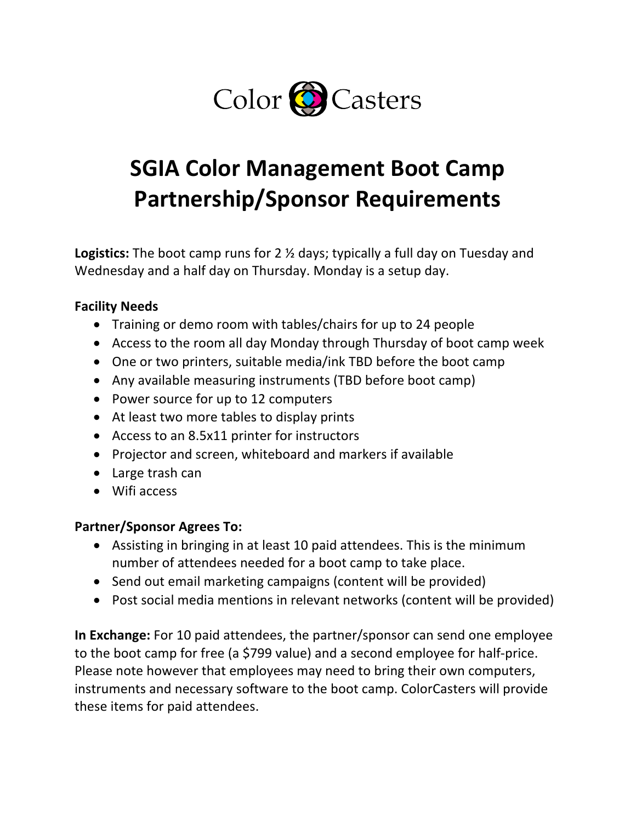

# **SGIA Color Management Boot Camp Partnership/Sponsor Requirements**

**Logistics:** The boot camp runs for 2 ½ days; typically a full day on Tuesday and Wednesday and a half day on Thursday. Monday is a setup day.

#### **Facility Needs**

- Training or demo room with tables/chairs for up to 24 people
- Access to the room all day Monday through Thursday of boot camp week
- One or two printers, suitable media/ink TBD before the boot camp
- Any available measuring instruments (TBD before boot camp)
- Power source for up to 12 computers
- At least two more tables to display prints
- Access to an 8.5x11 printer for instructors
- Projector and screen, whiteboard and markers if available
- Large trash can
- Wifi access

#### **Partner/Sponsor Agrees To:**

- Assisting in bringing in at least 10 paid attendees. This is the minimum number of attendees needed for a boot camp to take place.
- Send out email marketing campaigns (content will be provided)
- Post social media mentions in relevant networks (content will be provided)

**In Exchange:** For 10 paid attendees, the partner/sponsor can send one employee to the boot camp for free (a \$799 value) and a second employee for half-price. Please note however that employees may need to bring their own computers, instruments and necessary software to the boot camp. ColorCasters will provide these items for paid attendees.